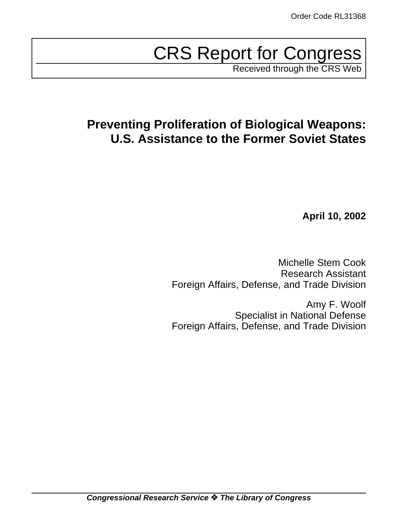# CRS Report for Congress

Received through the CRS Web

# **Preventing Proliferation of Biological Weapons: U.S. Assistance to the Former Soviet States**

**April 10, 2002**

Michelle Stem Cook Research Assistant Foreign Affairs, Defense, and Trade Division

Amy F. Woolf Specialist in National Defense Foreign Affairs, Defense, and Trade Division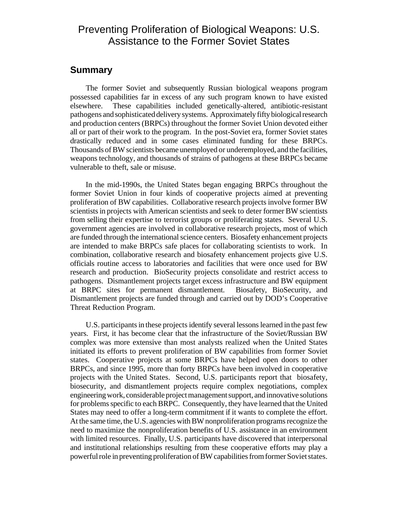## Preventing Proliferation of Biological Weapons: U.S. Assistance to the Former Soviet States

## **Summary**

The former Soviet and subsequently Russian biological weapons program possessed capabilities far in excess of any such program known to have existed elsewhere. These capabilities included genetically-altered, antibiotic-resistant pathogens and sophisticated deliverysystems. Approximately fifty biological research and production centers (BRPCs) throughout the former Soviet Union devoted either all or part of their work to the program. In the post-Soviet era, former Soviet states drastically reduced and in some cases eliminated funding for these BRPCs. Thousands of BW scientists became unemployed or underemployed, and the facilities, weapons technology, and thousands of strains of pathogens at these BRPCs became vulnerable to theft, sale or misuse.

In the mid-1990s, the United States began engaging BRPCs throughout the former Soviet Union in four kinds of cooperative projects aimed at preventing proliferation of BW capabilities. Collaborative research projects involve former BW scientists in projects with American scientists and seek to deter former BW scientists from selling their expertise to terrorist groups or proliferating states. Several U.S. government agencies are involved in collaborative research projects, most of which are funded through the international science centers. Biosafety enhancement projects are intended to make BRPCs safe places for collaborating scientists to work. In combination, collaborative research and biosafety enhancement projects give U.S. officials routine access to laboratories and facilities that were once used for BW research and production. BioSecurity projects consolidate and restrict access to pathogens. Dismantlement projects target excess infrastructure and BW equipment at BRPC sites for permanent dismantlement. Biosafety, BioSecurity, and Dismantlement projects are funded through and carried out by DOD's Cooperative Threat Reduction Program.

U.S. participants in these projects identify several lessons learned in the past few years. First, it has become clear that the infrastructure of the Soviet/Russian BW complex was more extensive than most analysts realized when the United States initiated its efforts to prevent proliferation of BW capabilities from former Soviet states. Cooperative projects at some BRPCs have helped open doors to other BRPCs, and since 1995, more than forty BRPCs have been involved in cooperative projects with the United States. Second, U.S. participants report that biosafety, biosecurity, and dismantlement projects require complex negotiations, complex engineeringwork, considerable project management support, and innovative solutions for problems specific to each BRPC. Consequently, they have learned that the United States may need to offer a long-term commitment if it wants to complete the effort. At the same time, the U.S. agencies with BW nonproliferation programs recognize the need to maximize the nonproliferation benefits of U.S. assistance in an environment with limited resources. Finally, U.S. participants have discovered that interpersonal and institutional relationships resulting from these cooperative efforts may play a powerful role in preventing proliferation of BW capabilities from former Soviet states.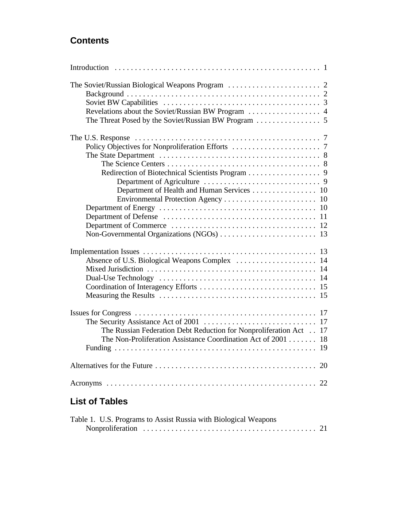## **Contents**

| Redirection of Biotechnical Scientists Program 9<br>Department of Health and Human Services 10                                    |  |
|-----------------------------------------------------------------------------------------------------------------------------------|--|
|                                                                                                                                   |  |
| The Russian Federation Debt Reduction for Nonproliferation Act 17<br>The Non-Proliferation Assistance Coordination Act of 2001 18 |  |
|                                                                                                                                   |  |
|                                                                                                                                   |  |

## **List of Tables**

| Table 1. U.S. Programs to Assist Russia with Biological Weapons |  |  |  |  |
|-----------------------------------------------------------------|--|--|--|--|
|                                                                 |  |  |  |  |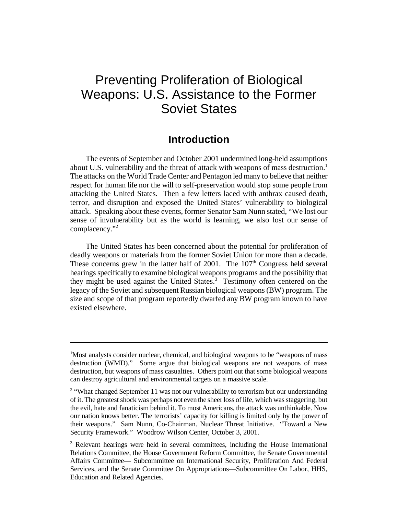## Preventing Proliferation of Biological Weapons: U.S. Assistance to the Former Soviet States

## **Introduction**

The events of September and October 2001 undermined long-held assumptions about U.S. vulnerability and the threat of attack with weapons of mass destruction.<sup>1</sup> The attacks on the World Trade Center and Pentagon led many to believe that neither respect for human life nor the will to self-preservation would stop some people from attacking the United States. Then a few letters laced with anthrax caused death, terror, and disruption and exposed the United States' vulnerability to biological attack. Speaking about these events, former Senator Sam Nunn stated, "We lost our sense of invulnerability but as the world is learning, we also lost our sense of complacency."<sup>2</sup>

The United States has been concerned about the potential for proliferation of deadly weapons or materials from the former Soviet Union for more than a decade. These concerns grew in the latter half of  $2001$ . The  $107<sup>th</sup>$  Congress held several hearings specifically to examine biological weapons programs and the possibility that they might be used against the United States.<sup>3</sup> Testimony often centered on the legacy of the Soviet and subsequent Russian biological weapons (BW) program. The size and scope of that program reportedly dwarfed any BW program known to have existed elsewhere.

<sup>&</sup>lt;sup>1</sup>Most analysts consider nuclear, chemical, and biological weapons to be "weapons of mass" destruction (WMD)." Some argue that biological weapons are not weapons of mass destruction, but weapons of mass casualties. Others point out that some biological weapons can destroy agricultural and environmental targets on a massive scale.

<sup>&</sup>lt;sup>2</sup> "What changed September 11 was not our vulnerability to terrorism but our understanding of it. The greatest shock was perhaps not even the sheer loss of life, which was staggering, but the evil, hate and fanaticism behind it. To most Americans, the attack was unthinkable. Now our nation knows better. The terrorists' capacity for killing is limited only by the power of their weapons." Sam Nunn, Co-Chairman. Nuclear Threat Initiative. "Toward a New Security Framework." Woodrow Wilson Center, October 3, 2001.

<sup>&</sup>lt;sup>3</sup> Relevant hearings were held in several committees, including the House International Relations Committee, the House Government Reform Committee, the Senate Governmental Affairs Committee— Subcommittee on International Security, Proliferation And Federal Services, and the Senate Committee On Appropriations—Subcommittee On Labor, HHS, Education and Related Agencies.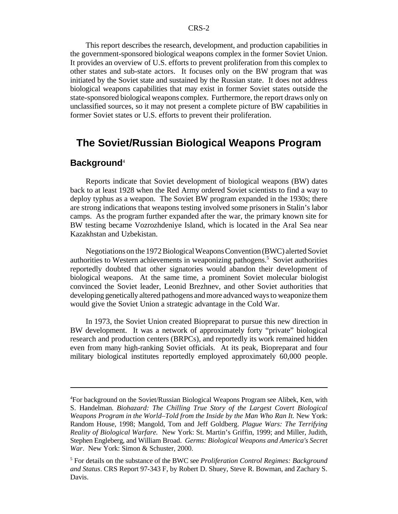This report describes the research, development, and production capabilities in the government-sponsored biological weapons complex in the former Soviet Union. It provides an overview of U.S. efforts to prevent proliferation from this complex to other states and sub-state actors. It focuses only on the BW program that was initiated by the Soviet state and sustained by the Russian state. It does not address biological weapons capabilities that may exist in former Soviet states outside the state-sponsored biological weapons complex. Furthermore, the report draws only on unclassified sources, so it may not present a complete picture of BW capabilities in former Soviet states or U.S. efforts to prevent their proliferation.

## **The Soviet/Russian Biological Weapons Program**

#### **Background**<sup>4</sup>

Reports indicate that Soviet development of biological weapons (BW) dates back to at least 1928 when the Red Army ordered Soviet scientists to find a way to deploy typhus as a weapon. The Soviet BW program expanded in the 1930s; there are strong indications that weapons testing involved some prisoners in Stalin's labor camps. As the program further expanded after the war, the primary known site for BW testing became Vozrozhdeniye Island, which is located in the Aral Sea near Kazakhstan and Uzbekistan.

Negotiations on the 1972 Biological Weapons Convention (BWC) alerted Soviet authorities to Western achievements in weaponizing pathogens.<sup>5</sup> Soviet authorities reportedly doubted that other signatories would abandon their development of biological weapons. At the same time, a prominent Soviet molecular biologist convinced the Soviet leader, Leonid Brezhnev, and other Soviet authorities that developing genetically altered pathogens andmore advanced waysto weaponize them would give the Soviet Union a strategic advantage in the Cold War.

In 1973, the Soviet Union created Biopreparat to pursue this new direction in BW development. It was a network of approximately forty "private" biological research and production centers (BRPCs), and reportedly its work remained hidden even from many high-ranking Soviet officials. At its peak, Biopreparat and four military biological institutes reportedly employed approximately 60,000 people.

<sup>4</sup>For background on the Soviet/Russian Biological Weapons Program see Alibek, Ken, with S. Handelman. *Biohazard: The Chilling True Story of the Largest Covert Biological Weapons Program in the World–Told from the Inside by the Man Who Ran It.* New York: Random House, 1998; Mangold, Tom and Jeff Goldberg. *Plague Wars: The Terrifying Reality of Biological Warfare.* New York: St. Martin's Griffin, 1999; and Miller, Judith, Stephen Engleberg, and William Broad. *Germs: Biological Weapons and America's Secret War*. New York: Simon & Schuster, 2000.

<sup>5</sup> For details on the substance of the BWC see *Proliferation Control Regimes: Background and Status*. CRS Report 97-343 F, by Robert D. Shuey, Steve R. Bowman, and Zachary S. Davis.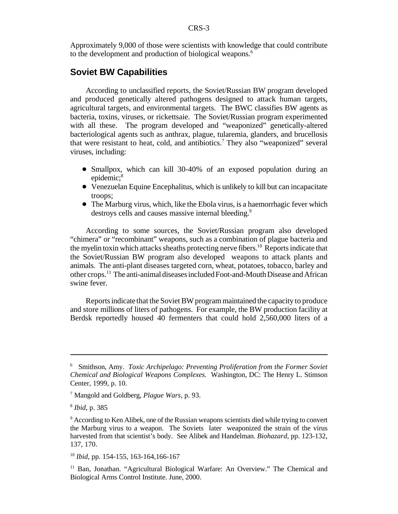Approximately 9,000 of those were scientists with knowledge that could contribute to the development and production of biological weapons.<sup>6</sup>

#### **Soviet BW Capabilities**

According to unclassified reports, the Soviet/Russian BW program developed and produced genetically altered pathogens designed to attack human targets, agricultural targets, and environmental targets. The BWC classifies BW agents as bacteria, toxins, viruses, or rickettsaie. The Soviet/Russian program experimented with all these. The program developed and "weaponized" genetically-altered bacteriological agents such as anthrax, plague, tularemia, glanders, and brucellosis that were resistant to heat, cold, and antibiotics.<sup>7</sup> They also "weaponized" several viruses, including:

- Smallpox, which can kill 30-40% of an exposed population during an epidemic;<sup>8</sup>
- Venezuelan Equine Encephalitus, which is unlikely to kill but can incapacitate troops;
- The Marburg virus, which, like the Ebola virus, is a haemorrhagic fever which destroys cells and causes massive internal bleeding.<sup>9</sup>

According to some sources, the Soviet/Russian program also developed "chimera" or "recombinant" weapons, such as a combination of plague bacteria and the myelin toxin which attacks sheaths protecting nerve fibers.<sup>10</sup> Reports indicate that the Soviet/Russian BW program also developed weapons to attack plants and animals. The anti-plant diseases targeted corn, wheat, potatoes, tobacco, barley and other crops.<sup>11</sup> The anti-animal diseases included Foot-and-Mouth Disease and African swine fever.

Reports indicate that the Soviet BW program maintained the capacity to produce and store millions of liters of pathogens. For example, the BW production facility at Berdsk reportedly housed 40 fermenters that could hold 2,560,000 liters of a

<sup>6</sup> Smithson, Amy. *Toxic Archipelago: Preventing Proliferation from the Former Soviet Chemical and Biological Weapons Complexes.* Washington, DC: The Henry L. Stimson Center, 1999, p. 10.

<sup>7</sup> Mangold and Goldberg*, Plague Wars*, p. 93.

<sup>8</sup>  *Ibid*, p. 385

<sup>9</sup> According to Ken Alibek, one of the Russian weapons scientists died while trying to convert the Marburg virus to a weapon. The Soviets later weaponized the strain of the virus harvested from that scientist's body. See Alibek and Handelman. *Biohazard,* pp. 123-132, 137, 170.

<sup>10</sup> *Ibid*, pp. 154-155, 163-164,166-167

<sup>11</sup> Ban, Jonathan. "Agricultural Biological Warfare: An Overview." The Chemical and Biological Arms Control Institute. June, 2000.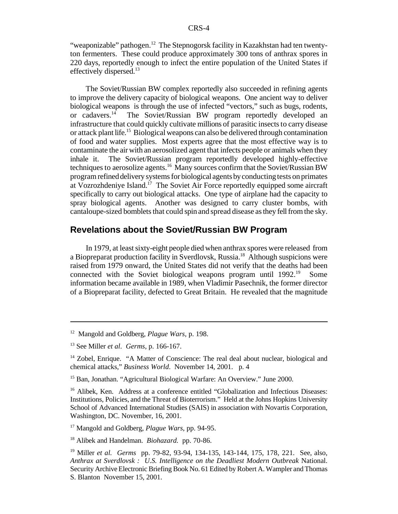"weaponizable" pathogen.<sup>12</sup> The Stepnogorsk facility in Kazakhstan had ten twentyton fermenters. These could produce approximately 300 tons of anthrax spores in 220 days, reportedly enough to infect the entire population of the United States if effectively dispersed.<sup>13</sup>

The Soviet/Russian BW complex reportedly also succeeded in refining agents to improve the delivery capacity of biological weapons. One ancient way to deliver biological weapons is through the use of infected "vectors," such as bugs, rodents, or cadavers.<sup>14</sup> The Soviet/Russian BW program reportedly developed an infrastructure that could quickly cultivate millions of parasitic insects to carry disease or attack plant life.<sup>15</sup> Biological weapons can also be delivered through contamination of food and water supplies. Most experts agree that the most effective way is to contaminate the air with an aerosolized agent that infects people or animals when they inhale it. The Soviet/Russian program reportedly developed highly-effective techniques to aerosolize agents.<sup>16</sup> Many sources confirm that the Soviet/Russian BW program refined delivery systems for biological agents by conducting tests on primates at Vozrozhdeniye Island.<sup>17</sup> The Soviet Air Force reportedly equipped some aircraft specifically to carry out biological attacks. One type of airplane had the capacity to spray biological agents. Another was designed to carry cluster bombs, with cantaloupe-sized bomblets that could spin and spread disease as they fell from the sky.

## **Revelations about the Soviet/Russian BW Program**

In 1979, at least sixty-eight people died when anthrax spores were released from a Biopreparat production facility in Sverdlovsk, Russia.<sup>18</sup> Although suspicions were raised from 1979 onward, the United States did not verify that the deaths had been connected with the Soviet biological weapons program until  $1992<sup>19</sup>$  Some information became available in 1989, when Vladimir Pasechnik, the former director of a Biopreparat facility, defected to Great Britain. He revealed that the magnitude

<sup>12</sup> Mangold and Goldberg, *Plague Wars,* p. 198.

<sup>13</sup> See Miller *et al*. *Germs,* p. 166-167.

<sup>&</sup>lt;sup>14</sup> Zobel, Enrique. "A Matter of Conscience: The real deal about nuclear, biological and chemical attacks," *Business World*. November 14, 2001. p. 4

<sup>&</sup>lt;sup>15</sup> Ban, Jonathan. "Agricultural Biological Warfare: An Overview." June 2000.

<sup>&</sup>lt;sup>16</sup> Alibek, Ken. Address at a conference entitled "Globalization and Infectious Diseases: Institutions, Policies, and the Threat of Bioterrorism." Held at the Johns Hopkins University School of Advanced International Studies (SAIS) in association with Novartis Corporation, Washington, DC. November, 16, 2001.

<sup>17</sup> Mangold and Goldberg, *Plague Wars*, pp. 94-95.

<sup>18</sup> Alibek and Handelman. *Biohazard.* pp. 70-86.

<sup>19</sup> Miller *et al. Germs* pp. 79-82, 93-94, 134-135, 143-144, 175, 178, 221*.* See, also, *Anthrax at Sverdlovsk : U.S. Intelligence on the Deadliest Modern Outbreak* National. Security Archive Electronic Briefing Book No. 61 Edited byRobert A. Wampler and Thomas S. Blanton November 15, 2001.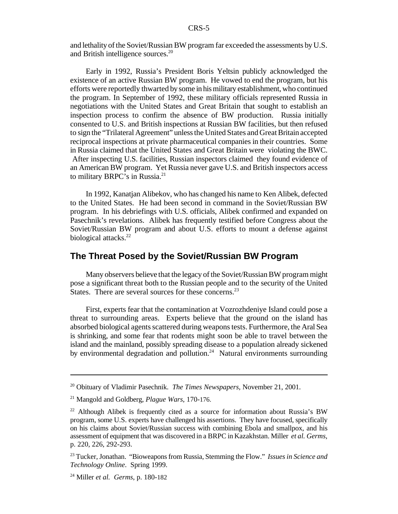and lethality of the Soviet/Russian BW program far exceeded the assessments by U.S. and British intelligence sources.<sup>20</sup>

Early in 1992, Russia's President Boris Yeltsin publicly acknowledged the existence of an active Russian BW program. He vowed to end the program, but his efforts were reportedly thwarted by some in hismilitary establishment, who continued the program. In September of 1992, these military officials represented Russia in negotiations with the United States and Great Britain that sought to establish an inspection process to confirm the absence of BW production. Russia initially consented to U.S. and British inspections at Russian BW facilities, but then refused to sign the "Trilateral Agreement" unlessthe United States and GreatBritain accepted reciprocal inspections at private pharmaceutical companies in their countries. Some in Russia claimed that the United States and Great Britain were violating the BWC. After inspecting U.S. facilities, Russian inspectors claimed they found evidence of an American BW program. Yet Russia never gave U.S. and British inspectors access to military BRPC's in Russia.<sup>21</sup>

In 1992, Kanatjan Alibekov, who has changed his name to Ken Alibek, defected to the United States. He had been second in command in the Soviet/Russian BW program. In his debriefings with U.S. officials, Alibek confirmed and expanded on Pasechnik's revelations. Alibek has frequently testified before Congress about the Soviet/Russian BW program and about U.S. efforts to mount a defense against biological attacks.<sup>22</sup>

## **The Threat Posed by the Soviet/Russian BW Program**

Many observers believe that the legacy of the Soviet/Russian BW program might pose a significant threat both to the Russian people and to the security of the United States. There are several sources for these concerns.<sup>23</sup>

First, experts fear that the contamination at Vozrozhdeniye Island could pose a threat to surrounding areas. Experts believe that the ground on the island has absorbed biological agents scattered during weapons tests. Furthermore, the Aral Sea is shrinking, and some fear that rodents might soon be able to travel between the island and the mainland, possibly spreading disease to a population already sickened by environmental degradation and pollution.<sup>24</sup> Natural environments surrounding

<sup>20</sup> Obituary of Vladimir Pasechnik. *The Times Newspapers,* November 21, 2001.

<sup>21</sup> Mangold and Goldberg, *Plague Wars*, 170-176.

 $22$  Although Alibek is frequently cited as a source for information about Russia's BW program, some U.S. experts have challenged his assertions. They have focused, specifically on his claims about Soviet/Russian success with combining Ebola and smallpox, and his assessment of equipment that was discovered in a BRPC in Kazakhstan. Miller *et al. Germs*, p. 220, 226, 292-293.

<sup>23</sup> Tucker,Jonathan. "Bioweapons from Russia, Stemming the Flow." *Issues in Science and Technology Online*. Spring 1999.

<sup>24</sup> Miller *et al. Germs*, p. 180-182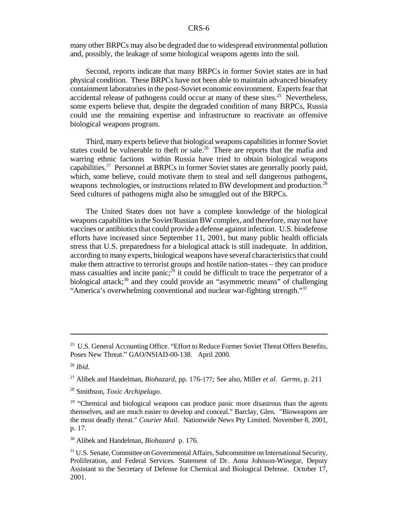many other BRPCs may also be degraded due to widespread environmental pollution and, possibly, the leakage of some biological weapons agents into the soil.

Second, reports indicate that many BRPCs in former Soviet states are in bad physical condition. These BRPCs have not been able to maintain advanced biosafety containment laboratories in the post-Soviet economic environment. Experts fear that accidental release of pathogens could occur at many of these sites.<sup>25</sup> Nevertheless, some experts believe that, despite the degraded condition of many BRPCs, Russia could use the remaining expertise and infrastructure to reactivate an offensive biological weapons program.

Third, many experts believe that biological weapons capabilities in former Soviet states could be vulnerable to theft or sale.<sup>26</sup> There are reports that the mafia and warring ethnic factions within Russia have tried to obtain biological weapons capabilities.<sup>27</sup> Personnel at BRPCs in former Soviet states are generally poorly paid, which, some believe, could motivate them to steal and sell dangerous pathogens, weapons technologies, or instructions related to BW development and production.<sup>28</sup> Seed cultures of pathogens might also be smuggled out of the BRPCs.

The United States does not have a complete knowledge of the biological weapons capabilities in the Soviet/Russian BW complex, and therefore, may not have vaccines or antibiotics that could provide a defense against infection. U.S. biodefense efforts have increased since September 11, 2001, but many public health officials stress that U.S. preparedness for a biological attack is still inadequate. In addition, according to many experts, biological weapons have several characteristics that could make them attractive to terrorist groups and hostile nation-states – they can produce mass casualties and incite panic;<sup>29</sup> it could be difficult to trace the perpetrator of a biological attack;<sup>30</sup> and they could provide an "asymmetric means" of challenging "America's overwhelming conventional and nuclear war-fighting strength."<sup>31</sup>

 $25$  U.S. General Accounting Office. "Effort to Reduce Former Soviet Threat Offers Benefits, Poses New Threat." GAO/NSIAD-00-138. April 2000.

<sup>26</sup> *Ibid*.

<sup>27</sup> Alibek and Handelman, *Biohazard*, pp. 176-177*;* See also, Miller *et al. Germs*, p. 211

<sup>28</sup> Smithson, *Toxic Archipelago*.

<sup>&</sup>lt;sup>29</sup> "Chemical and biological weapons can produce panic more disastrous than the agents themselves, and are much easier to develop and conceal." Barclay, Glen. "Bioweapons are the most deadly threat." *Courier Mail*. Nationwide News Pty Limited. November 8, 2001, p. 17.

<sup>30</sup> Alibek and Handelman, *Biohazard* p. 176.

<sup>&</sup>lt;sup>31</sup> U.S. Senate, Committee on Governmental Affairs, Subcommittee on International Security, Proliferation, and Federal Services. Statement of Dr. Anna Johnson-Winegar, Deputy Assistant to the Secretary of Defense for Chemical and Biological Defense. October 17, 2001.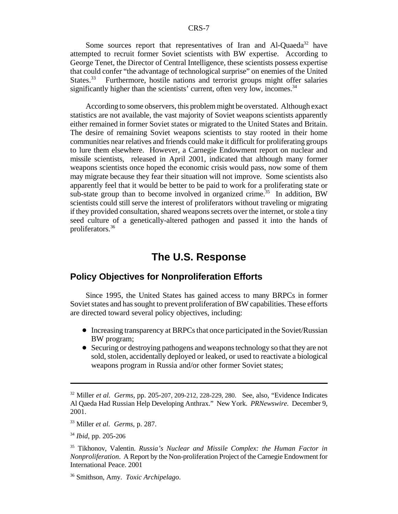Some sources report that representatives of Iran and Al-Quaeda<sup>32</sup> have attempted to recruit former Soviet scientists with BW expertise. According to George Tenet, the Director of Central Intelligence, these scientists possess expertise that could confer "the advantage of technological surprise" on enemies of the United States.<sup>33</sup> Furthermore, hostile nations and terrorist groups might offer salaries significantly higher than the scientists' current, often very low, incomes.<sup>34</sup>

According to some observers, this problemmight be overstated. Although exact statistics are not available, the vast majority of Soviet weapons scientists apparently either remained in former Soviet states or migrated to the United States and Britain. The desire of remaining Soviet weapons scientists to stay rooted in their home communities near relatives and friends could make it difficult for proliferating groups to lure them elsewhere. However, a Carnegie Endowment report on nuclear and missile scientists, released in April 2001, indicated that although many former weapons scientists once hoped the economic crisis would pass, now some of them may migrate because they fear their situation will not improve. Some scientists also apparently feel that it would be better to be paid to work for a proliferating state or sub-state group than to become involved in organized crime.<sup>35</sup> In addition, BW scientists could still serve the interest of proliferators without traveling or migrating ifthey provided consultation, shared weaponssecrets over the internet, orstole a tiny seed culture of a genetically-altered pathogen and passed it into the hands of proliferators.<sup>36</sup>

## **The U.S. Response**

## **Policy Objectives for Nonproliferation Efforts**

Since 1995, the United States has gained access to many BRPCs in former Soviet states and has sought to prevent proliferation of BW capabilities. These efforts are directed toward several policy objectives, including:

- Increasing transparency at BRPCs that once participated in the Soviet/Russian BW program;
- Securing or destroying pathogens and weaponstechnology so that they are not sold, stolen, accidentally deployed or leaked, or used to reactivate a biological weapons program in Russia and/or other former Soviet states;

<sup>32</sup> Miller *et al. Germs*, pp. 205-207, 209-212, 228-229, 280.See, also*,* "Evidence Indicates Al Qaeda Had Russian Help Developing Anthrax."New York. *PRNewswire*. December 9, 2001.

<sup>33</sup> Miller *et al. Germs*, p. 287.

<sup>34</sup> *Ibid*, pp. 205-206

<sup>35</sup> Tikhonov, Valentin. *Russia's Nuclear and Missile Complex: the Human Factor in Nonproliferation*. A Report by the Non-proliferation Project of the Carnegie Endowment for International Peace. 2001

<sup>36</sup> Smithson, Amy. *Toxic Archipelago*.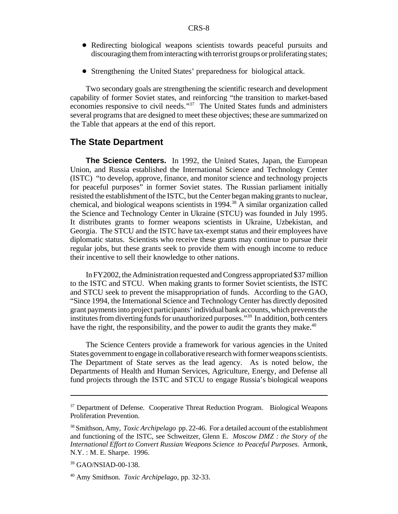- ! Redirecting biological weapons scientists towards peaceful pursuits and discouraging them from interacting with terrorist groups or proliferating states;
- ! Strengthening the United States' preparedness for biological attack.

Two secondary goals are strengthening the scientific research and development capability of former Soviet states, and reinforcing "the transition to market-based economies responsive to civil needs."<sup>37</sup> The United States funds and administers several programs that are designed to meet these objectives; these are summarized on the Table that appears at the end of this report.

#### **The State Department**

**The Science Centers.** In 1992, the United States, Japan, the European Union, and Russia established the International Science and Technology Center (ISTC) "to develop, approve, finance, and monitor science and technology projects for peaceful purposes" in former Soviet states. The Russian parliament initially resisted the establishment of the ISTC, but the Center began making grants to nuclear, chemical, and biological weapons scientists in  $1994<sup>38</sup>$  A similar organization called the Science and Technology Center in Ukraine (STCU) was founded in July 1995. It distributes grants to former weapons scientists in Ukraine, Uzbekistan, and Georgia. The STCU and the ISTC have tax-exempt status and their employees have diplomatic status. Scientists who receive these grants may continue to pursue their regular jobs, but these grants seek to provide them with enough income to reduce their incentive to sell their knowledge to other nations.

In FY2002, the Administration requested and Congress appropriated \$37 million to the ISTC and STCU. When making grants to former Soviet scientists, the ISTC and STCU seek to prevent the misappropriation of funds. According to the GAO, "Since 1994, the International Science and Technology Center has directly deposited grant payments into project participants' individual bank accounts, which prevents the institutes from diverting funds for unauthorized purposes."<sup>39</sup> In addition, both centers have the right, the responsibility, and the power to audit the grants they make.<sup>40</sup>

The Science Centers provide a framework for various agencies in the United States government to engage in collaborative research with former weapons scientists. The Department of State serves as the lead agency. As is noted below, the Departments of Health and Human Services, Agriculture, Energy, and Defense all fund projects through the ISTC and STCU to engage Russia's biological weapons

<sup>&</sup>lt;sup>37</sup> Department of Defense. Cooperative Threat Reduction Program. Biological Weapons Proliferation Prevention.

<sup>38</sup> Smithson, Amy, *Toxic Archipelago* pp. 22-46. For a detailed account of the establishment and functioning of the ISTC, see Schweitzer, Glenn E. *Moscow DMZ : the Story of the International Effort to Convert Russian Weapons Science to Peaceful Purposes.* Armonk, N.Y. : M. E. Sharpe. 1996.

<sup>39</sup> GAO/NSIAD-00-138.

<sup>40</sup> Amy Smithson. *Toxic Archipelago*, pp. 32-33.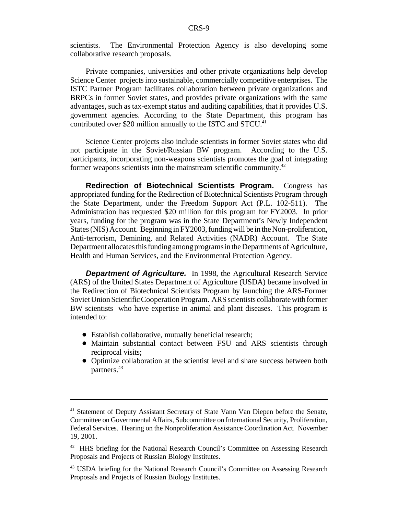scientists. The Environmental Protection Agency is also developing some collaborative research proposals.

Private companies, universities and other private organizations help develop Science Center projects into sustainable, commercially competitive enterprises. The ISTC Partner Program facilitates collaboration between private organizations and BRPCs in former Soviet states, and provides private organizations with the same advantages, such as tax-exempt status and auditing capabilities, that it provides U.S. government agencies. According to the State Department, this program has contributed over \$20 million annually to the ISTC and STCU.<sup>41</sup>

Science Center projects also include scientists in former Soviet states who did not participate in the Soviet/Russian BW program. According to the U.S. participants, incorporating non-weapons scientists promotes the goal of integrating former weapons scientists into the mainstream scientific community.<sup>42</sup>

**Redirection of Biotechnical Scientists Program.** Congress has appropriated funding for the Redirection of Biotechnical Scientists Program through the State Department, under the Freedom Support Act (P.L. 102-511). The Administration has requested \$20 million for this program for FY2003. In prior years, funding for the program was in the State Department's Newly Independent States(NIS) Account. Beginning in FY2003, funding will be in the Non-proliferation, Anti-terrorism, Demining, and Related Activities (NADR) Account. The State Department allocates this funding among programs in the Departments of Agriculture, Health and Human Services, and the Environmental Protection Agency.

*Department of Agriculture.* In 1998, the Agricultural Research Service (ARS) of the United States Department of Agriculture (USDA) became involved in the Redirection of Biotechnical Scientists Program by launching the ARS-Former Soviet Union Scientific Cooperation Program. ARS scientists collaborate with former BW scientists who have expertise in animal and plant diseases. This program is intended to:

- Establish collaborative, mutually beneficial research;
- Maintain substantial contact between FSU and ARS scientists through reciprocal visits;
- Optimize collaboration at the scientist level and share success between both partners.<sup>43</sup>

<sup>&</sup>lt;sup>41</sup> Statement of Deputy Assistant Secretary of State Vann Van Diepen before the Senate, Committee on Governmental Affairs, Subcommittee on International Security, Proliferation, Federal Services. Hearing on the Nonproliferation Assistance Coordination Act. November 19, 2001.

<sup>&</sup>lt;sup>42</sup> HHS briefing for the National Research Council's Committee on Assessing Research Proposals and Projects of Russian Biology Institutes.

<sup>&</sup>lt;sup>43</sup> USDA briefing for the National Research Council's Committee on Assessing Research Proposals and Projects of Russian Biology Institutes.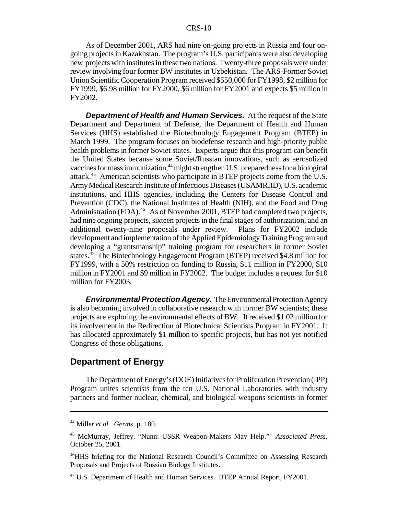As of December 2001, ARS had nine on-going projects in Russia and four ongoing projects in Kazakhstan. The program's U.S. participants were also developing new projects with institutes in these two nations. Twenty-three proposals were under review involving four former BW institutes in Uzbekistan. The ARS-Former Soviet Union Scientific Cooperation Program received \$550,000 for FY1998, \$2 million for FY1999, \$6.98 million for FY2000, \$6 million for FY2001 and expects \$5 million in FY2002.

*Department of Health and Human Services.* At the request of the State Department and Department of Defense, the Department of Health and Human Services (HHS) established the Biotechnology Engagement Program (BTEP) in March 1999. The program focuses on biodefense research and high-priority public health problems in former Soviet states. Experts argue that this program can benefit the United States because some Soviet/Russian innovations, such as aerosolized vaccines for mass immunization,<sup>44</sup> might strengthen U.S. preparedness for a biological attack.<sup>45</sup> American scientists who participate in BTEP projects come from the U.S. Army Medical Research Institute of Infectious Diseases (USAMRIID), U.S. academic institutions, and HHS agencies, including the Centers for Disease Control and Prevention (CDC), the National Institutes of Health (NIH), and the Food and Drug Administration (FDA).<sup>46</sup> As of November 2001, BTEP had completed two projects, had nine ongoing projects, sixteen projects in the final stages of authorization, and an additional twenty-nine proposals under review. Plans for FY2002 include development and implementation of the Applied Epidemiology Training Program and developing a "grantsmanship" training program for researchers in former Soviet states.<sup>47</sup> The Biotechnology Engagement Program (BTEP) received \$4.8 million for FY1999, with a 50% restriction on funding to Russia, \$11 million in FY2000, \$10 million in FY2001 and \$9 million in FY2002. The budget includes a request for \$10 million for FY2003.

*Environmental Protection Agency.* The Environmental Protection Agency is also becoming involved in collaborative research with former BW scientists; these projects are exploring the environmental effects of BW. It received \$1.02 million for its involvement in the Redirection of Biotechnical Scientists Program in FY2001. It has allocated approximately \$1 million to specific projects, but has not yet notified Congress of these obligations.

#### **Department of Energy**

The Department of Energy's (DOE) Initiatives for Proliferation Prevention (IPP) Program unites scientists from the ten U.S. National Laboratories with industry partners and former nuclear, chemical, and biological weapons scientists in former

<sup>44</sup> Miller *et al. Germs*, p. 180.

<sup>45</sup> McMurray, Jeffrey. "Nunn: USSR Weapon-Makers May Help." *Associated Press*. October 25, 2001.

<sup>46</sup>HHS briefing for the National Research Council's Committee on Assessing Research Proposals and Projects of Russian Biology Institutes.

<sup>&</sup>lt;sup>47</sup> U.S. Department of Health and Human Services. BTEP Annual Report, FY2001.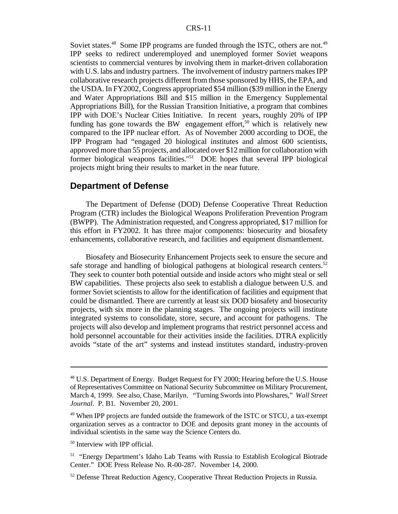Soviet states.<sup>48</sup> Some IPP programs are funded through the ISTC, others are not.<sup>49</sup> IPP seeks to redirect underemployed and unemployed former Soviet weapons scientists to commercial ventures by involving them in market-driven collaboration with U.S. labs and industry partners. The involvement of industry partners makes IPP collaborative research projects different from those sponsored by HHS, the EPA, and the USDA. In FY2002, Congress appropriated \$54 million (\$39 million in the Energy and Water Appropriations Bill and \$15 million in the Emergency Supplemental Appropriations Bill), for the Russian Transition Initiative, a program that combines IPP with DOE's Nuclear Cities Initiative. In recent years, roughly 20% of IPP funding has gone towards the BW engagement effort,<sup>50</sup> which is relatively new compared to the IPP nuclear effort. As of November 2000 according to DOE, the IPP Program had "engaged 20 biological institutes and almost 600 scientists, approved more than 55 projects, and allocated over \$12 million for collaboration with former biological weapons facilities."<sup>51</sup> DOE hopes that several IPP biological projects might bring their results to market in the near future.

#### **Department of Defense**

The Department of Defense (DOD) Defense Cooperative Threat Reduction Program (CTR) includes the Biological Weapons Proliferation Prevention Program (BWPP). The Administration requested, and Congress appropriated, \$17 million for this effort in FY2002. It has three major components: biosecurity and biosafety enhancements, collaborative research, and facilities and equipment dismantlement.

Biosafety and Biosecurity Enhancement Projects seek to ensure the secure and safe storage and handling of biological pathogens at biological research centers.<sup>52</sup> They seek to counter both potential outside and inside actors who might steal or sell BW capabilities. These projects also seek to establish a dialogue between U.S. and former Soviet scientists to allow for the identification of facilities and equipment that could be dismantled. There are currently at least six DOD biosafety and biosecurity projects, with six more in the planning stages. The ongoing projects will institute integrated systems to consolidate, store, secure, and account for pathogens. The projects will also develop and implement programs that restrict personnel access and hold personnel accountable for their activities inside the facilities. DTRA explicitly avoids "state of the art" systems and instead institutes standard, industry-proven

<sup>&</sup>lt;sup>48</sup> U.S. Department of Energy. Budget Request for FY 2000; Hearing before the U.S. House of Representatives Committee on National Security Subcommittee on Military Procurement, March 4, 1999. See also, Chase, Marilyn. "Turning Swords into Plowshares," *Wall Street Journal.* P. B1. November 20, 2001.

<sup>&</sup>lt;sup>49</sup> When IPP projects are funded outside the framework of the ISTC or STCU, a tax-exempt organization serves as a contractor to DOE and deposits grant money in the accounts of individual scientists in the same way the Science Centers do.

<sup>50</sup> Interview with IPP official.

<sup>&</sup>lt;sup>51</sup> "Energy Department's Idaho Lab Teams with Russia to Establish Ecological Biotrade Center." DOE Press Release No. R-00-287. November 14, 2000.

 $52$  Defense Threat Reduction Agency, Cooperative Threat Reduction Projects in Russia.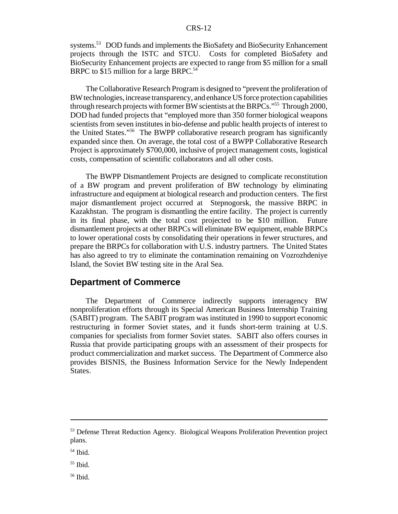systems.<sup>53</sup> DOD funds and implements the BioSafety and BioSecurity Enhancement projects through the ISTC and STCU. Costs for completed BioSafety and BioSecurity Enhancement projects are expected to range from \$5 million for a small BRPC to \$15 million for a large BRPC.<sup>54</sup>

The Collaborative Research Program is designed to "prevent the proliferation of BW technologies, increase transparency, and enhance US force protection capabilities through research projects with former BW scientists at the BRPCs."<sup>55</sup> Through 2000, DOD had funded projects that "employed more than 350 former biological weapons scientists from seven institutes in bio-defense and public health projects of interest to the United States."<sup>56</sup> The BWPP collaborative research program has significantly expanded since then. On average, the total cost of a BWPP Collaborative Research Project is approximately \$700,000, inclusive of project management costs, logistical costs, compensation of scientific collaborators and all other costs.

The BWPP Dismantlement Projects are designed to complicate reconstitution of a BW program and prevent proliferation of BW technology by eliminating infrastructure and equipment at biological research and production centers. The first major dismantlement project occurred at Stepnogorsk, the massive BRPC in Kazakhstan. The program is dismantling the entire facility. The project is currently in its final phase, with the total cost projected to be \$10 million. Future dismantlement projects at other BRPCs will eliminate BW equipment, enable BRPCs to lower operational costs by consolidating their operations in fewer structures, and prepare the BRPCs for collaboration with U.S. industry partners. The United States has also agreed to try to eliminate the contamination remaining on Vozrozhdeniye Island, the Soviet BW testing site in the Aral Sea.

#### **Department of Commerce**

The Department of Commerce indirectly supports interagency BW nonproliferation efforts through its Special American Business Internship Training (SABIT) program. The SABIT program was instituted in 1990 to support economic restructuring in former Soviet states, and it funds short-term training at U.S. companies for specialists from former Soviet states. SABIT also offers courses in Russia that provide participating groups with an assessment of their prospects for product commercialization and market success. The Department of Commerce also provides BISNIS, the Business Information Service for the Newly Independent States.

<sup>&</sup>lt;sup>53</sup> Defense Threat Reduction Agency. Biological Weapons Proliferation Prevention project plans.

<sup>54</sup> Ibid.

 $55$  Ibid.

<sup>56</sup> Ibid.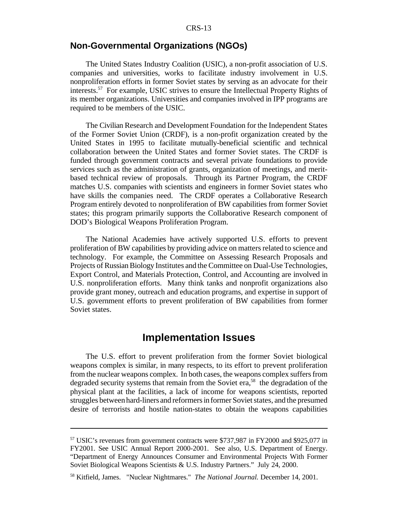## **Non-Governmental Organizations (NGOs)**

The United States Industry Coalition (USIC), a non-profit association of U.S. companies and universities, works to facilitate industry involvement in U.S. nonproliferation efforts in former Soviet states by serving as an advocate for their interests.<sup>57</sup> For example, USIC strives to ensure the Intellectual Property Rights of its member organizations. Universities and companies involved in IPP programs are required to be members of the USIC.

The Civilian Research and Development Foundation for the Independent States of the Former Soviet Union (CRDF), is a non-profit organization created by the United States in 1995 to facilitate mutually-beneficial scientific and technical collaboration between the United States and former Soviet states. The CRDF is funded through government contracts and several private foundations to provide services such as the administration of grants, organization of meetings, and meritbased technical review of proposals. Through its Partner Program, the CRDF matches U.S. companies with scientists and engineers in former Soviet states who have skills the companies need. The CRDF operates a Collaborative Research Program entirely devoted to nonproliferation of BW capabilities from former Soviet states; this program primarily supports the Collaborative Research component of DOD's Biological Weapons Proliferation Program.

The National Academies have actively supported U.S. efforts to prevent proliferation of BW capabilities by providing advice on mattersrelated to science and technology. For example, the Committee on Assessing Research Proposals and Projects of RussianBiology Institutes and the Committee on Dual-Use Technologies, Export Control, and Materials Protection, Control, and Accounting are involved in U.S. nonproliferation efforts. Many think tanks and nonprofit organizations also provide grant money, outreach and education programs, and expertise in support of U.S. government efforts to prevent proliferation of BW capabilities from former Soviet states.

## **Implementation Issues**

The U.S. effort to prevent proliferation from the former Soviet biological weapons complex is similar, in many respects, to its effort to prevent proliferation from the nuclear weapons complex. In both cases, the weapons complex suffers from degraded security systems that remain from the Soviet era,<sup>58</sup> the degradation of the physical plant at the facilities, a lack of income for weapons scientists, reported struggles between hard-liners and reformersin former Sovietstates, and the presumed desire of terrorists and hostile nation-states to obtain the weapons capabilities

<sup>57</sup> USIC's revenues from government contracts were \$737,987 in FY2000 and \$925,077 in FY2001. See USIC Annual Report 2000-2001. See also, U.S. Department of Energy. "Department of Energy Announces Consumer and Environmental Projects With Former Soviet Biological Weapons Scientists & U.S. Industry Partners." July 24, 2000.

<sup>58</sup> Kitfield, James. "Nuclear Nightmares." *The National Journal.* December 14, 2001.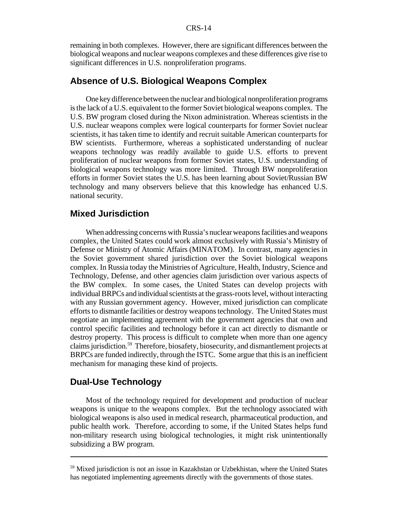#### CRS-14

remaining in both complexes. However, there are significant differences between the biological weapons and nuclear weapons complexes and these differences give rise to significant differences in U.S. nonproliferation programs.

## **Absence of U.S. Biological Weapons Complex**

One key difference between the nuclear and biological nonproliferation programs isthe lack of a U.S. equivalent to the former Soviet biological weapons complex. The U.S. BW program closed during the Nixon administration. Whereas scientists in the U.S. nuclear weapons complex were logical counterparts for former Soviet nuclear scientists, it has taken time to identify and recruit suitable American counterparts for BW scientists. Furthermore, whereas a sophisticated understanding of nuclear weapons technology was readily available to guide U.S. efforts to prevent proliferation of nuclear weapons from former Soviet states, U.S. understanding of biological weapons technology was more limited. Through BW nonproliferation efforts in former Soviet states the U.S. has been learning about Soviet/Russian BW technology and many observers believe that this knowledge has enhanced U.S. national security.

#### **Mixed Jurisdiction**

When addressing concerns with Russia's nuclear weapons facilities and weapons complex, the United States could work almost exclusively with Russia's Ministry of Defense or Ministry of Atomic Affairs (MINATOM). In contrast, many agencies in the Soviet government shared jurisdiction over the Soviet biological weapons complex. In Russia today the Ministries of Agriculture, Health, Industry, Science and Technology, Defense, and other agencies claim jurisdiction over various aspects of the BW complex. In some cases, the United States can develop projects with individual BRPCs and individual scientists at the grass-roots level, without interacting with any Russian government agency. However, mixed jurisdiction can complicate efforts to dismantle facilities or destroy weapons technology. The United States must negotiate an implementing agreement with the government agencies that own and control specific facilities and technology before it can act directly to dismantle or destroy property. This process is difficult to complete when more than one agency claims jurisdiction.<sup>59</sup> Therefore, biosafety, biosecurity, and dismantlement projects at BRPCs are funded indirectly, through the ISTC. Some argue that this is an inefficient mechanism for managing these kind of projects.

## **Dual-Use Technology**

Most of the technology required for development and production of nuclear weapons is unique to the weapons complex. But the technology associated with biological weapons is also used in medical research, pharmaceutical production, and public health work. Therefore, according to some, if the United States helps fund non-military research using biological technologies, it might risk unintentionally subsidizing a BW program.

<sup>&</sup>lt;sup>59</sup> Mixed jurisdiction is not an issue in Kazakhstan or Uzbekhistan, where the United States has negotiated implementing agreements directly with the governments of those states.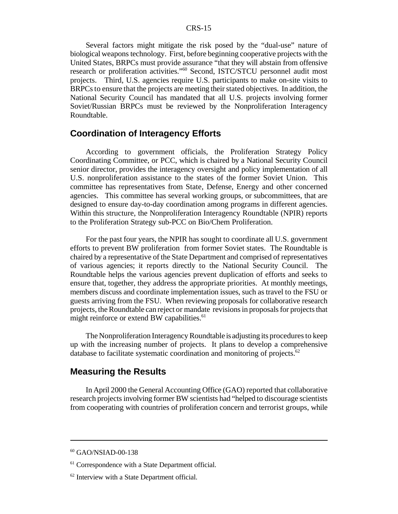Several factors might mitigate the risk posed by the "dual-use" nature of biological weapons technology. First, before beginning cooperative projects with the United States, BRPCs must provide assurance "that they will abstain from offensive research or proliferation activities."<sup>60</sup> Second, ISTC/STCU personnel audit most projects. Third, U.S. agencies require U.S. participants to make on-site visits to BRPCs to ensure that the projects are meeting their stated objectives. In addition, the National Security Council has mandated that all U.S. projects involving former Soviet/Russian BRPCs must be reviewed by the Nonproliferation Interagency Roundtable.

## **Coordination of Interagency Efforts**

According to government officials, the Proliferation Strategy Policy Coordinating Committee, or PCC, which is chaired by a National Security Council senior director, provides the interagency oversight and policy implementation of all U.S. nonproliferation assistance to the states of the former Soviet Union. This committee has representatives from State, Defense, Energy and other concerned agencies. This committee has several working groups, or subcommittees, that are designed to ensure day-to-day coordination among programs in different agencies. Within this structure, the Nonproliferation Interagency Roundtable (NPIR) reports to the Proliferation Strategy sub-PCC on Bio/Chem Proliferation.

For the past four years, the NPIR has sought to coordinate all U.S. government efforts to prevent BW proliferation from former Soviet states. The Roundtable is chaired by a representative of the State Department and comprised of representatives of various agencies; it reports directly to the National Security Council. The Roundtable helps the various agencies prevent duplication of efforts and seeks to ensure that, together, they address the appropriate priorities. At monthly meetings, members discuss and coordinate implementation issues, such as travel to the FSU or guests arriving from the FSU. When reviewing proposals for collaborative research projects, theRoundtable can reject or mandate revisions in proposals for projects that might reinforce or extend BW capabilities.<sup>61</sup>

The Nonproliferation Interagency Roundtable is adjusting its procedures to keep up with the increasing number of projects. It plans to develop a comprehensive database to facilitate systematic coordination and monitoring of projects. $62$ 

#### **Measuring the Results**

In April 2000 the General Accounting Office (GAO) reported that collaborative research projects involving former BW scientists had "helped to discourage scientists from cooperating with countries of proliferation concern and terrorist groups, while

<sup>60</sup> GAO/NSIAD-00-138

<sup>&</sup>lt;sup>61</sup> Correspondence with a State Department official.

<sup>&</sup>lt;sup>62</sup> Interview with a State Department official.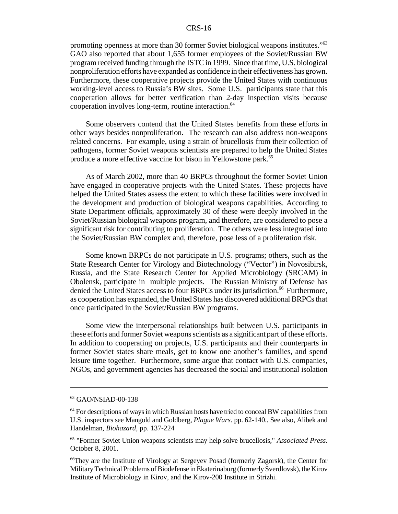#### CRS-16

promoting openness at more than 30 former Soviet biological weapons institutes."<sup>63</sup> GAO also reported that about 1,655 former employees of the Soviet/Russian BW program received funding through the ISTC in 1999. Since that time, U.S. biological nonproliferation efforts have expanded as confidence in their effectiveness has grown. Furthermore, these cooperative projects provide the United States with continuous working-level access to Russia's BW sites. Some U.S. participants state that this cooperation allows for better verification than 2-day inspection visits because cooperation involves long-term, routine interaction.<sup>64</sup>

Some observers contend that the United States benefits from these efforts in other ways besides nonproliferation. The research can also address non-weapons related concerns. For example, using a strain of brucellosis from their collection of pathogens, former Soviet weapons scientists are prepared to help the United States produce a more effective vaccine for bison in Yellowstone park.<sup>65</sup>

As of March 2002, more than 40 BRPCs throughout the former Soviet Union have engaged in cooperative projects with the United States. These projects have helped the United States assess the extent to which these facilities were involved in the development and production of biological weapons capabilities. According to State Department officials, approximately 30 of these were deeply involved in the Soviet/Russian biological weapons program, and therefore, are considered to pose a significant risk for contributing to proliferation. The others were less integrated into the Soviet/Russian BW complex and, therefore, pose less of a proliferation risk.

Some known BRPCs do not participate in U.S. programs; others, such as the State Research Center for Virology and Biotechnology ("Vector") in Novosibirsk, Russia, and the State Research Center for Applied Microbiology (SRCAM) in Obolensk, participate in multiple projects. The Russian Ministry of Defense has denied the United States access to four BRPCs under its jurisdiction.<sup>66</sup> Furthermore, as cooperation has expanded, the United States has discovered additional BRPCs that once participated in the Soviet/Russian BW programs.

Some view the interpersonal relationships built between U.S. participants in these efforts and former Soviet weaponsscientists as a significant part of these efforts. In addition to cooperating on projects, U.S. participants and their counterparts in former Soviet states share meals, get to know one another's families, and spend leisure time together. Furthermore, some argue that contact with U.S. companies, NGOs, and government agencies has decreased the social and institutional isolation

<sup>&</sup>lt;sup>63</sup> GAO/NSIAD-00-138

 $64$  For descriptions of ways in which Russian hosts have tried to conceal BW capabilities from U.S. inspectors see Mangold and Goldberg, *Plague Wars.* pp. 62-140.*.* See also, Alibek and Handelman, *Biohazard*, pp. 137-224

<sup>65</sup> "Former Soviet Union weapons scientists may help solve brucellosis," *Associated Press.* October 8, 2001.

<sup>66</sup>They are the Institute of Virology at Sergeyev Posad (formerly Zagorsk), the Center for MilitaryTechnical Problems of Biodefense in Ekaterinaburg (formerly Sverdlovsk), the Kirov Institute of Microbiology in Kirov, and the Kirov-200 Institute in Strizhi.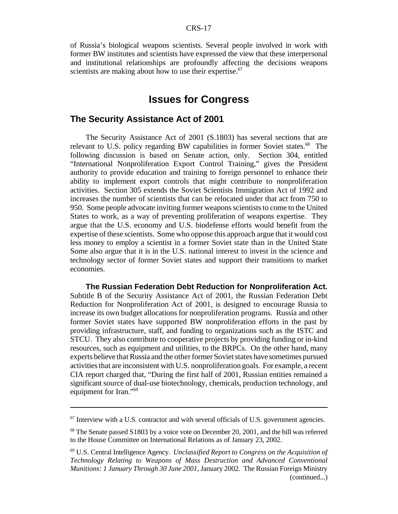of Russia's biological weapons scientists. Several people involved in work with former BW institutes and scientists have expressed the view that these interpersonal and institutional relationships are profoundly affecting the decisions weapons scientists are making about how to use their expertise.<sup>67</sup>

## **Issues for Congress**

#### **The Security Assistance Act of 2001**

The Security Assistance Act of 2001 (S.1803) has several sections that are relevant to U.S. policy regarding BW capabilities in former Soviet states.<sup>68</sup> The following discussion is based on Senate action, only. Section 304, entitled "International Nonproliferation Export Control Training," gives the President authority to provide education and training to foreign personnel to enhance their ability to implement export controls that might contribute to nonproliferation activities. Section 305 extends the Soviet Scientists Immigration Act of 1992 and increases the number of scientists that can be relocated under that act from 750 to 950. Some people advocate inviting former weapons scientists to come to the United States to work, as a way of preventing proliferation of weapons expertise. They argue that the U.S. economy and U.S. biodefense efforts would benefit from the expertise of these scientists. Some who oppose this approach argue that it would cost less money to employ a scientist in a former Soviet state than in the United State Some also argue that it is in the U.S. national interest to invest in the science and technology sector of former Soviet states and support their transitions to market economies.

**The Russian Federation Debt Reduction for Nonproliferation Act.** Subtitle B of the Security Assistance Act of 2001, the Russian Federation Debt Reduction for Nonproliferation Act of 2001, is designed to encourage Russia to increase its own budget allocations for nonproliferation programs. Russia and other former Soviet states have supported BW nonproliferation efforts in the past by providing infrastructure, staff, and funding to organizations such as the ISTC and STCU. They also contribute to cooperative projects by providing funding or in-kind resources, such as equipment and utilities, to the BRPCs. On the other hand, many experts believe that Russia and the other former Soviet states have sometimes pursued activitiesthat are inconsistent with U.S. nonproliferation goals. For example, a recent CIA report charged that, "During the first half of 2001, Russian entities remained a significant source of dual-use biotechnology, chemicals, production technology, and equipment for Iran."69

 $67$  Interview with a U.S. contractor and with several officials of U.S. government agencies.

<sup>&</sup>lt;sup>68</sup> The Senate passed S1803 by a voice vote on December 20, 2001, and the bill was referred to the House Committee on International Relations as of January 23, 2002.

<sup>69</sup> U.S. Central Intelligence Agency. *Unclassified Report to Congress on the Acquisition of Technology Relating to Weapons of Mass Destruction and Advanced Conventional Munitions: 1 January Through 30 June 2001*, January 2002. The Russian Foreign Ministry (continued...)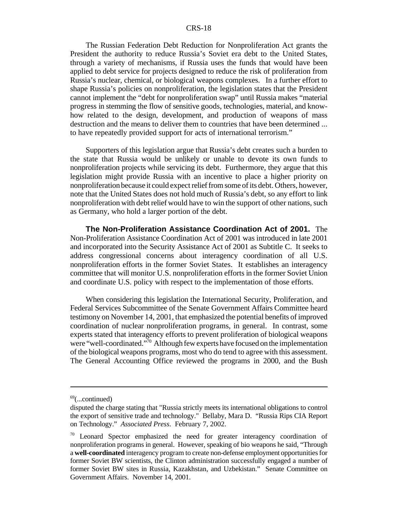#### CRS-18

The Russian Federation Debt Reduction for Nonproliferation Act grants the President the authority to reduce Russia's Soviet era debt to the United States, through a variety of mechanisms, if Russia uses the funds that would have been applied to debt service for projects designed to reduce the risk of proliferation from Russia's nuclear, chemical, or biological weapons complexes. In a further effort to shape Russia's policies on nonproliferation, the legislation states that the President cannot implement the "debt for nonproliferation swap" until Russia makes "material progress in stemming the flow of sensitive goods, technologies, material, and knowhow related to the design, development, and production of weapons of mass destruction and the means to deliver them to countries that have been determined ... to have repeatedly provided support for acts of international terrorism."

Supporters of this legislation argue that Russia's debt creates such a burden to the state that Russia would be unlikely or unable to devote its own funds to nonproliferation projects while servicing its debt. Furthermore, they argue that this legislation might provide Russia with an incentive to place a higher priority on nonproliferation because it could expect relief from some of its debt. Others, however, note that the United States does not hold much of Russia's debt, so any effort to link nonproliferation with debt relief would have to win the support of other nations, such as Germany, who hold a larger portion of the debt.

**The Non-Proliferation Assistance Coordination Act of 2001.** The Non-Proliferation Assistance Coordination Act of 2001 was introduced in late 2001 and incorporated into the Security Assistance Act of 2001 as Subtitle C. It seeks to address congressional concerns about interagency coordination of all U.S. nonproliferation efforts in the former Soviet States. It establishes an interagency committee that will monitor U.S. nonproliferation efforts in the former Soviet Union and coordinate U.S. policy with respect to the implementation of those efforts.

When considering this legislation the International Security, Proliferation, and Federal Services Subcommittee of the Senate Government Affairs Committee heard testimony on November 14, 2001, that emphasized the potential benefits of improved coordination of nuclear nonproliferation programs, in general. In contrast, some experts stated that interagency efforts to prevent proliferation of biological weapons were "well-coordinated."<sup>70</sup> Although few experts have focused on the implementation of the biological weapons programs, most who do tend to agree with this assessment. The General Accounting Office reviewed the programs in 2000, and the Bush

 $^{69}$ (...continued)

disputed the charge stating that "Russia strictly meets its international obligations to control the export of sensitive trade and technology." Bellaby, Mara D. "Russia Rips CIA Report on Technology." *Associated Press*. February 7, 2002.

 $70$  Leonard Spector emphasized the need for greater interagency coordination of nonproliferation programs in general. However, speaking of bio weapons he said, "Through a **well-coordinated** interagency program to create non-defense employment opportunitiesfor former Soviet BW scientists, the Clinton administration successfully engaged a number of former Soviet BW sites in Russia, Kazakhstan, and Uzbekistan." Senate Committee on Government Affairs. November 14, 2001.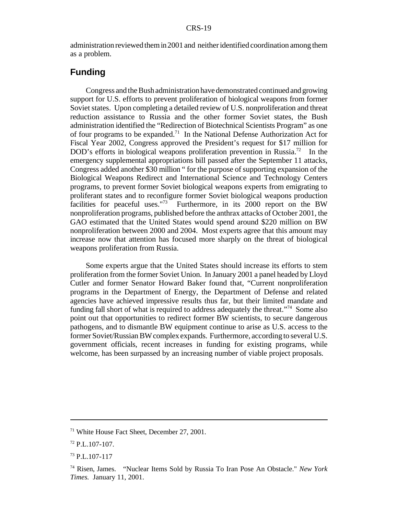administration reviewed themin2001 and neither identified coordination among them as a problem.

## **Funding**

Congress and the Bush administration have demonstrated continued and growing support for U.S. efforts to prevent proliferation of biological weapons from former Soviet states. Upon completing a detailed review of U.S. nonproliferation and threat reduction assistance to Russia and the other former Soviet states, the Bush administration identified the "Redirection of Biotechnical Scientists Program" as one of four programs to be expanded.<sup>71</sup> In the National Defense Authorization Act for Fiscal Year 2002, Congress approved the President's request for \$17 million for DOD's efforts in biological weapons proliferation prevention in Russia.<sup>72</sup> In the emergency supplemental appropriations bill passed after the September 11 attacks, Congress added another \$30 million " for the purpose of supporting expansion of the Biological Weapons Redirect and International Science and Technology Centers programs, to prevent former Soviet biological weapons experts from emigrating to proliferant states and to reconfigure former Soviet biological weapons production facilities for peaceful uses."<sup>73</sup> Furthermore, in its 2000 report on the BW nonproliferation programs, published before the anthrax attacks of October 2001, the GAO estimated that the United States would spend around \$220 million on BW nonproliferation between 2000 and 2004. Most experts agree that this amount may increase now that attention has focused more sharply on the threat of biological weapons proliferation from Russia.

Some experts argue that the United States should increase its efforts to stem proliferation from the former Soviet Union. In January 2001 a panel headed by Lloyd Cutler and former Senator Howard Baker found that, "Current nonproliferation programs in the Department of Energy, the Department of Defense and related agencies have achieved impressive results thus far, but their limited mandate and funding fall short of what is required to address adequately the threat.<sup>"74</sup> Some also point out that opportunities to redirect former BW scientists, to secure dangerous pathogens, and to dismantle BW equipment continue to arise as U.S. access to the former Soviet/RussianBWcomplex expands. Furthermore, according to several U.S. government officials, recent increases in funding for existing programs, while welcome, has been surpassed by an increasing number of viable project proposals.

<sup>71</sup> White House Fact Sheet, December 27, 2001.

 $72$  P.L.107-107.

<sup>73</sup> P.L.107-117

<sup>74</sup> Risen, James. "Nuclear Items Sold by Russia To Iran Pose An Obstacle." *New York Times.* January 11, 2001.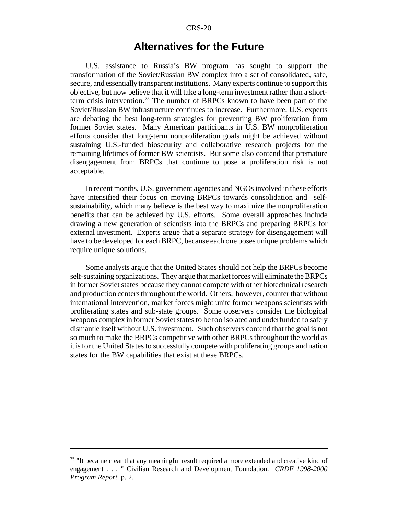#### CRS-20

## **Alternatives for the Future**

U.S. assistance to Russia's BW program has sought to support the transformation of the Soviet/Russian BW complex into a set of consolidated, safe, secure, and essentially transparent institutions. Many experts continue to support this objective, but now believe that it will take a long-term investment rather than a shortterm crisis intervention.<sup>75</sup> The number of BRPCs known to have been part of the Soviet/Russian BW infrastructure continues to increase. Furthermore, U.S. experts are debating the best long-term strategies for preventing BW proliferation from former Soviet states. Many American participants in U.S. BW nonproliferation efforts consider that long-term nonproliferation goals might be achieved without sustaining U.S.-funded biosecurity and collaborative research projects for the remaining lifetimes of former BW scientists. But some also contend that premature disengagement from BRPCs that continue to pose a proliferation risk is not acceptable.

In recent months, U.S. government agencies and NGOs involved in these efforts have intensified their focus on moving BRPCs towards consolidation and selfsustainability, which many believe is the best way to maximize the nonproliferation benefits that can be achieved by U.S. efforts. Some overall approaches include drawing a new generation of scientists into the BRPCs and preparing BRPCs for external investment. Experts argue that a separate strategy for disengagement will have to be developed for each BRPC, because each one poses unique problems which require unique solutions.

Some analysts argue that the United States should not help the BRPCs become self-sustaining organizations. They argue that market forces will eliminate the BRPCs in former Soviet states because they cannot compete with other biotechnical research and production centers throughout the world. Others, however, counter that without international intervention, market forces might unite former weapons scientists with proliferating states and sub-state groups. Some observers consider the biological weapons complex in former Soviet states to be too isolated and underfunded to safely dismantle itself without U.S. investment. Such observers contend that the goal is not so much to make the BRPCs competitive with other BRPCs throughout the world as it is for the United States to successfully compete with proliferating groups and nation states for the BW capabilities that exist at these BRPCs.

<sup>&</sup>lt;sup>75</sup> "It became clear that any meaningful result required a more extended and creative kind of engagement . . . " Civilian Research and Development Foundation. *CRDF 1998-2000 Program Report*. p. 2.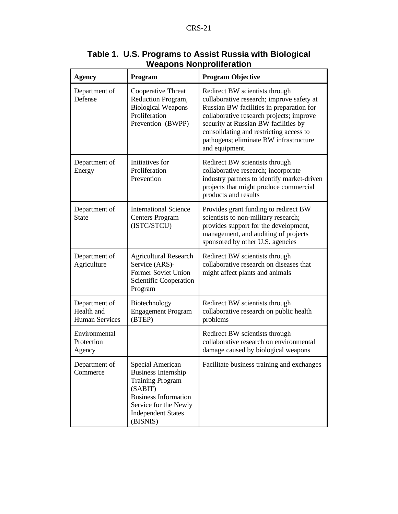| <b>Agency</b>                                                                                                                                                                                                      | Program                                                                                                     | <b>Program Objective</b>                                                                                                                                                                                                                                                                                           |  |  |  |
|--------------------------------------------------------------------------------------------------------------------------------------------------------------------------------------------------------------------|-------------------------------------------------------------------------------------------------------------|--------------------------------------------------------------------------------------------------------------------------------------------------------------------------------------------------------------------------------------------------------------------------------------------------------------------|--|--|--|
| Department of<br>Defense                                                                                                                                                                                           | Cooperative Threat<br>Reduction Program,<br><b>Biological Weapons</b><br>Proliferation<br>Prevention (BWPP) | Redirect BW scientists through<br>collaborative research; improve safety at<br>Russian BW facilities in preparation for<br>collaborative research projects; improve<br>security at Russian BW facilities by<br>consolidating and restricting access to<br>pathogens; eliminate BW infrastructure<br>and equipment. |  |  |  |
| Department of<br>Energy                                                                                                                                                                                            | Initiatives for<br>Proliferation<br>Prevention                                                              | Redirect BW scientists through<br>collaborative research; incorporate<br>industry partners to identify market-driven<br>projects that might produce commercial<br>products and results                                                                                                                             |  |  |  |
| Department of<br><b>State</b>                                                                                                                                                                                      | <b>International Science</b><br><b>Centers Program</b><br>(ISTC/STCU)                                       | Provides grant funding to redirect BW<br>scientists to non-military research;<br>provides support for the development,<br>management, and auditing of projects<br>sponsored by other U.S. agencies                                                                                                                 |  |  |  |
| Department of<br>Agriculture                                                                                                                                                                                       | <b>Agricultural Research</b><br>Service (ARS)-<br>Former Soviet Union<br>Scientific Cooperation<br>Program  | Redirect BW scientists through<br>collaborative research on diseases that<br>might affect plants and animals                                                                                                                                                                                                       |  |  |  |
| Department of<br>Health and<br><b>Human Services</b>                                                                                                                                                               | Biotechnology<br><b>Engagement Program</b><br>(BTEP)                                                        | Redirect BW scientists through<br>collaborative research on public health<br>problems                                                                                                                                                                                                                              |  |  |  |
| Environmental<br>Protection<br>Agency                                                                                                                                                                              |                                                                                                             | Redirect BW scientists through<br>collaborative research on environmental<br>damage caused by biological weapons                                                                                                                                                                                                   |  |  |  |
| Department of<br>Special American<br><b>Business Internship</b><br>Commerce<br><b>Training Program</b><br>(SABIT)<br><b>Business Information</b><br>Service for the Newly<br><b>Independent States</b><br>(BISNIS) |                                                                                                             | Facilitate business training and exchanges                                                                                                                                                                                                                                                                         |  |  |  |

## **Table 1. U.S. Programs to Assist Russia with Biological Weapons Nonproliferation**